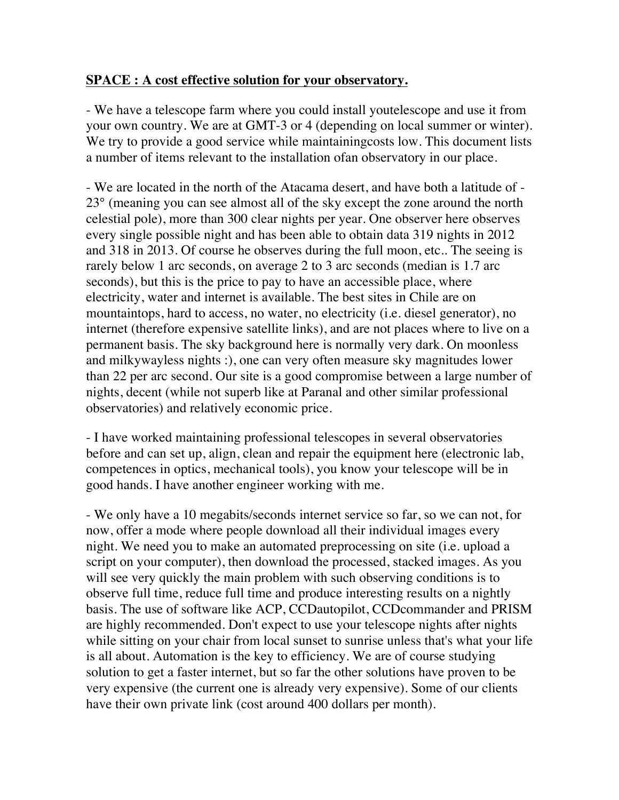## **SPACE : A cost effective solution for your observatory.**

- We have a telescope farm where you could install youtelescope and use it from your own country. We are at GMT-3 or 4 (depending on local summer or winter). We try to provide a good service while maintaining costs low. This document lists a number of items relevant to the installation ofan observatory in our place.

- We are located in the north of the Atacama desert, and have both a latitude of - 23° (meaning you can see almost all of the sky except the zone around the north celestial pole), more than 300 clear nights per year. One observer here observes every single possible night and has been able to obtain data 319 nights in 2012 and 318 in 2013. Of course he observes during the full moon, etc.. The seeing is rarely below 1 arc seconds, on average 2 to 3 arc seconds (median is 1.7 arc seconds), but this is the price to pay to have an accessible place, where electricity, water and internet is available. The best sites in Chile are on mountaintops, hard to access, no water, no electricity (i.e. diesel generator), no internet (therefore expensive satellite links), and are not places where to live on a permanent basis. The sky background here is normally very dark. On moonless and milkywayless nights :), one can very often measure sky magnitudes lower than 22 per arc second. Our site is a good compromise between a large number of nights, decent (while not superb like at Paranal and other similar professional observatories) and relatively economic price.

- I have worked maintaining professional telescopes in several observatories before and can set up, align, clean and repair the equipment here (electronic lab, competences in optics, mechanical tools), you know your telescope will be in good hands. I have another engineer working with me.

- We only have a 10 megabits/seconds internet service so far, so we can not, for now, offer a mode where people download all their individual images every night. We need you to make an automated preprocessing on site (i.e. upload a script on your computer), then download the processed, stacked images. As you will see very quickly the main problem with such observing conditions is to observe full time, reduce full time and produce interesting results on a nightly basis. The use of software like ACP, CCDautopilot, CCDcommander and PRISM are highly recommended. Don't expect to use your telescope nights after nights while sitting on your chair from local sunset to sunrise unless that's what your life is all about. Automation is the key to efficiency. We are of course studying solution to get a faster internet, but so far the other solutions have proven to be very expensive (the current one is already very expensive). Some of our clients have their own private link (cost around 400 dollars per month).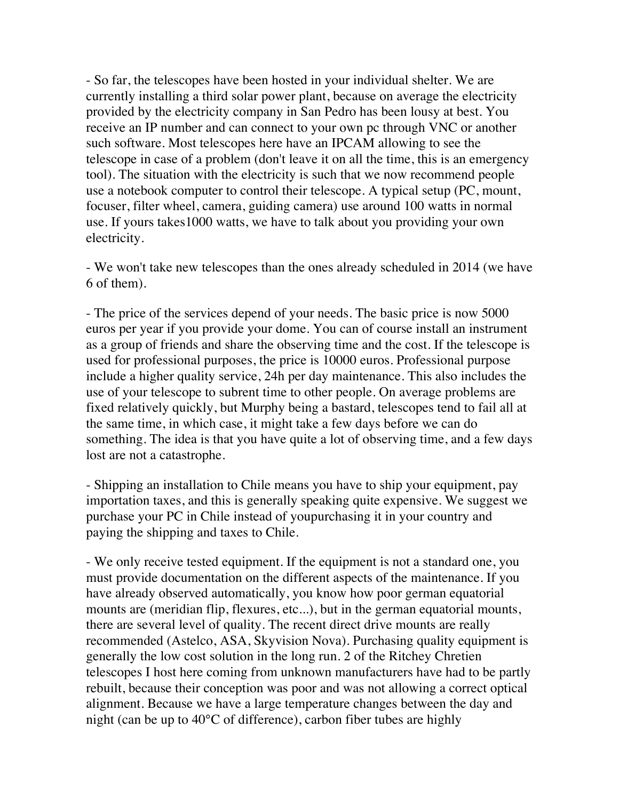- So far, the telescopes have been hosted in your individual shelter. We are currently installing a third solar power plant, because on average the electricity provided by the electricity company in San Pedro has been lousy at best. You receive an IP number and can connect to your own pc through VNC or another such software. Most telescopes here have an IPCAM allowing to see the telescope in case of a problem (don't leave it on all the time, this is an emergency tool). The situation with the electricity is such that we now recommend people use a notebook computer to control their telescope. A typical setup (PC, mount, focuser, filter wheel, camera, guiding camera) use around 100 watts in normal use. If yours takes1000 watts, we have to talk about you providing your own electricity.

- We won't take new telescopes than the ones already scheduled in 2014 (we have 6 of them).

- The price of the services depend of your needs. The basic price is now 5000 euros per year if you provide your dome. You can of course install an instrument as a group of friends and share the observing time and the cost. If the telescope is used for professional purposes, the price is 10000 euros. Professional purpose include a higher quality service, 24h per day maintenance. This also includes the use of your telescope to subrent time to other people. On average problems are fixed relatively quickly, but Murphy being a bastard, telescopes tend to fail all at the same time, in which case, it might take a few days before we can do something. The idea is that you have quite a lot of observing time, and a few days lost are not a catastrophe.

- Shipping an installation to Chile means you have to ship your equipment, pay importation taxes, and this is generally speaking quite expensive. We suggest we purchase your PC in Chile instead of youpurchasing it in your country and paying the shipping and taxes to Chile.

- We only receive tested equipment. If the equipment is not a standard one, you must provide documentation on the different aspects of the maintenance. If you have already observed automatically, you know how poor german equatorial mounts are (meridian flip, flexures, etc...), but in the german equatorial mounts, there are several level of quality. The recent direct drive mounts are really recommended (Astelco, ASA, Skyvision Nova). Purchasing quality equipment is generally the low cost solution in the long run. 2 of the Ritchey Chretien telescopes I host here coming from unknown manufacturers have had to be partly rebuilt, because their conception was poor and was not allowing a correct optical alignment. Because we have a large temperature changes between the day and night (can be up to 40°C of difference), carbon fiber tubes are highly